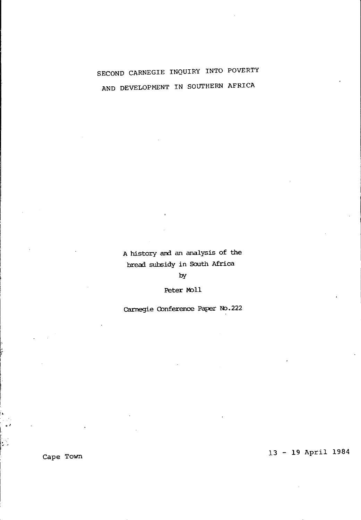# SECOND CARNEGIE INQUIRY INTO POVERTY AND DEVELOPMENT IN SOUTHERN AFRICA

A history and an analysis of the bread subsidy in South Africa

 $by$ 

Peter Moll

Carnegie Conference Paper No.222

13 - 19 April 1984

Cape Town

b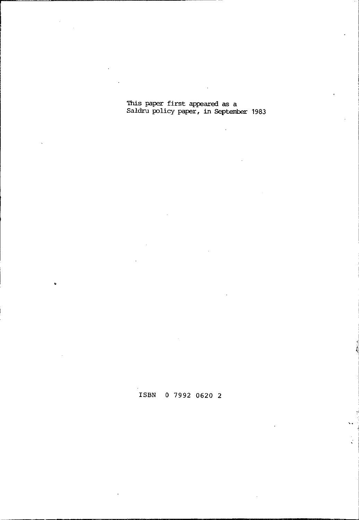'lhis paper first appeared as a Saldru policy paper, in September 1983

 $\ddot{\phantom{a}}$ 

# ISBN 0 7992 0620 2

t.<br>K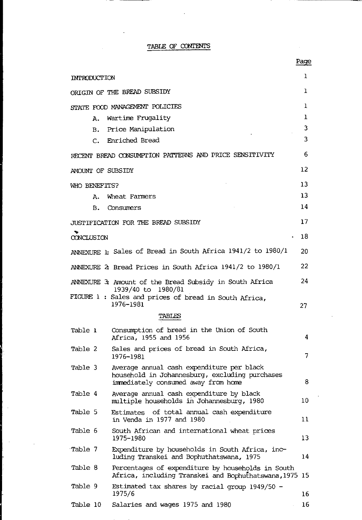|  | TABLE OF CONTENTS |
|--|-------------------|
|  | ____              |

 $\ddot{\phantom{a}}$ 

|                                                                                                                                               | - - - - |
|-----------------------------------------------------------------------------------------------------------------------------------------------|---------|
| INTRODUCTION                                                                                                                                  | ı       |
| ORIGIN OF THE BREAD SUBSIDY                                                                                                                   | ı       |
| STATE FOOD MANAGEMENT POLICIES                                                                                                                | ı       |
| Wartime Frugality<br>А.                                                                                                                       | ı       |
| Price Manipulation<br>в.                                                                                                                      | 3       |
| Enriched Bread<br>c.                                                                                                                          | 3       |
| RECENT BREAD CONSUMPTION PATTERNS AND PRICE SENSITIVITY                                                                                       | 6       |
| AMOUNT OF SUBSIDY                                                                                                                             | 12      |
| WHO BENEFITS?                                                                                                                                 | 13      |
| Wheat Farmers<br>А.                                                                                                                           | 13      |
| в.<br>Consumers                                                                                                                               | 14      |
| JUSTIFICATION FOR THE BREAD SUBSIDY                                                                                                           | 17      |
| CONCLUSION                                                                                                                                    | 18      |
| ANNEXURE 1: Sales of Bread in South Africa 1941/2 to 1980/1                                                                                   | 20      |
| ANNEXURE 2 Bread Prices in South Africa 1941/2 to 1980/1                                                                                      | 22      |
| ANNEXURE 3: Amount of the Bread Subsidy in South Africa<br>1939/40 to<br>1980/81                                                              | 24      |
| FIGURE 1 : Sales and prices of bread in South Africa,<br>1976-1981                                                                            | 27      |
| TABLES                                                                                                                                        |         |
| Consumption of bread in the Union of South<br>Table 1<br>Africa, 1955 and 1956                                                                | 4       |
| Table 2<br>Sales and prices of bread in South Africa,<br>1976–1981                                                                            | 7       |
| Average annual cash expenditure per black<br>Table 3<br>household in Johannesburg, excluding purchases<br>immediately consumed away from home | 8       |
| Table 4<br>Average annual cash expenditure by black<br>multiple households in Johannesburg, 1980                                              | 10      |
| Table 5<br>Estimates of total annual cash expenditure<br>in Venda in 1977 and 1980                                                            | 11      |
| Table 6<br>South African and international wheat prices<br>1975-1980                                                                          | 13      |
| Table 7<br>Expenditure by households in South Africa, inc-<br>luding Transkei and Bophuthatswana, 1975                                        | 14      |
| Table 8<br>Percentages of expenditure by households in South<br>Africa, including Transkei and Bophuthatswana,1975 15                         |         |
| Table 9<br>Estimated tax shares by racial group 1949/50 -<br>1975/6                                                                           | 16      |
| Table 10<br>Salaries and wages 1975 and 1980                                                                                                  | 16      |

Page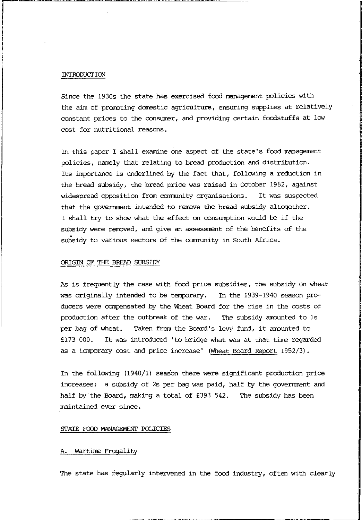### INTRODUCTION

Since the 1930s the state has exercised food management policies with the aim of promoting domestic agriculture, ensuring supplies at relatively constant prices to the consumer, and providing certain foodstuffs at low cost for nutritional reasons.

In this paper I shall examine one aspect of the state's food management policies, namely that relating to bread production and distribution. Its importance is underlined by the fact that, following a reduction in the bread subsidy, the bread price was raised in October 1982, against vlidespread opposition from comnunity organisations. It was suspected that the government intended to remove the bread subsidy altogether. I shall try to ShON what the effect on consumption would be if the subsidy were removed, and give an assessment of the benefits of the subsidy to various sectors of the community in South Africa.

### ORIGIN OF THE BREAD SUBSIDY

As is frequently the case with food price subsidies, the subsidy on wheat was originally intended to be terrporary. In the 1939-1940 season producers were compensated by the Wheat Board for the rise in the costs of production after the outbreak of the war. The subsidy arrounted to Is per bag of wheat. Taken from the Board's levy fund, it amounted to £173 000. It was introduced 'to bridge what was at that time regarded as a terrporary cost and price increase' (Wheat Board Report 1952/3).

In the following  $(1940/1)$  season there were significant production price increases; a subsidy of 2s per bag was paid, half by the government and half by the Board, making a total of £393 542. The subsidy has been maintained ever since.

### STATE FOOD MANAGEMENT POLICIES

### A. Wartime Frugality

The state has regularly intervened in the food industry, often with clearly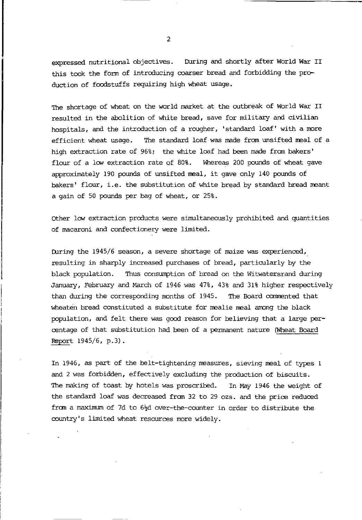expressed nutritional objectives. During and shortly after World War II this took the form of introducing coarser bread and forbidding the production of foodstuffs requiring high wheat usage.

The shortage of wheat on the world market at the outbreak of World War II resulted in the abolition of white bread, save for military and civilian hospitals, and the introduction of a rougher, 'standard loaf' with a more efficient wheat usage. The standard loaf was made from unsifted meal of a high extraction rate of 96%; the white loaf had been made from bakers' flour of a low extraction rate of  $80\$ . Whereas 200 pounds of wheat gave approximately 190 pounds of unsifted meal, it gave only 140 pounds of bakers' flour, i.e. the substitution of white bread by standard bread meant a gain of 50 pounds per bag of wheat, or 25%.

Other low extraction products were simultaneously prohibited and quantities of macaroni and confectionery were limited.

During the 1945/6 season, a severe shortage of maize was experienced, resulting in sharply increased purchases of bread, particularly by the black population. Thus consumption of bread on the Witwatersrand during January, February and March of 1946 was 47%, 43% and 31% higher respectively than during the corresponding months of 1945. The Board commented that wheaten bread constituted a substitute for mealie meal among the black population, and felt there was good reason for believing that a large percentage of that substitution had been of a permanent nature (Wheat Board Report 1945/6, p.3).

In 1946, as part of the belt-tightening measures, sieving meal of types 1 and 2 was forbidden, effectively excluding the production of biscuits. The making of toast by hotels was proscribed. In May 1946 the weight of the standard loaf was decreased from 32 to 29 ozs. and the prioe reduced from a maximum of 7d to  $6\frac{1}{4}$  over-the-counter in order to distribute the country's limited wheat resources more widely.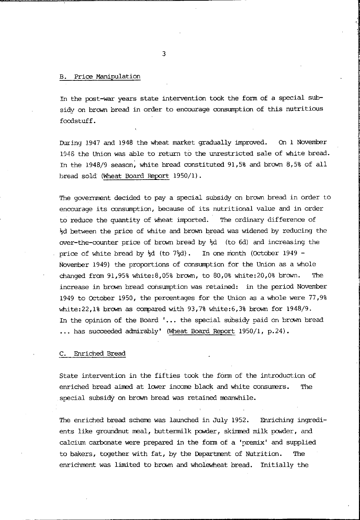### B. Price Manipulation

In the post-war years state intervention took the form of a special subsidy on brown bread in order to encourage consumption of this nutritious foodstuff.

During 1947 and 1948 the wheat market gradually improved. On 1 November 1948 the Union was able to return to the unrestricted sale of white bread. In the 1948/9 season; white bread constituted 91,5% and brown 8,5% of all bread sold (Wheat Board Report 1950/1).

The government decided to pay a special subsidy on brown bread in order to encourage its consumption, because of its nutritional value and in order to reduce the quantity of wheat imported. The ordinary difference of ~d between the price of white and brown bread was widened by reducing the over-the-counter price of brown bread by  $\frac{1}{2}d$  (to 6d) and increasing the price of white bread by  $\frac{1}{2}d$  (to  $7\frac{1}{2}d$ ). In one month (October 1949 -November 1949) the proportions of consumption for the Union as a whole changed fran 91,95% white:8,05% brown, to 80,0% white:20,0% brown. The increase in brown bread consumption was retained: in the period November 1949 to October 1950, the percentages for the Union as a whole were 77,9% white:  $22,18$  brown as compared with  $93,78$  white:  $6,38$  brown for  $1948/9$ . In the opinion of the Board '... the special subsidy paid on brown bread •.. has succeeded admirably' (Wheat Board Report 1950/1, p.24).

### C. Enriched Bread

State intervention in the fifties took the form of the introduction of enriched bread aimed at lower income black and white consumers. The special subsidy on brown bread was retained meanwhile.

The enriched bread scheme was launched in July 1952. Enriching ingredients like groundnut meal, buttermilk powder, skimmed milk powder, and calcium carbonate were prepared in the form of a 'premix' and supplied to bakers, together with fat, by the Department of Nutrition. The enrichment was limited to brown and wholewheat bread. Initially the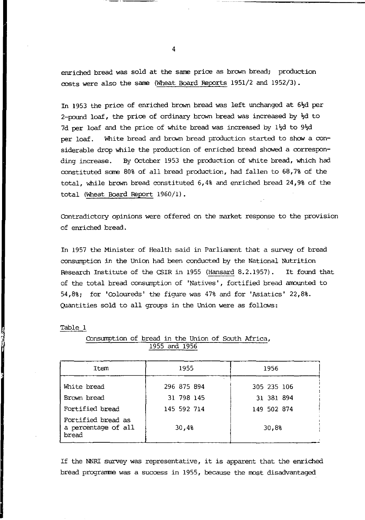enriched bread was sold at the same price as brown bread; production costs were also the sane (Wheat Board Reports 1951/2 and 1952/3).

In 1953 the price of enriched brown bread was left unchanged at 6<sup>1</sup>d per 2-pound loaf, the price of ordinary brown bread was increased by  $\frac{1}{2}d$  to 7d per loaf and the price of white bread was increased by 1½d to 9½d per loaf. White bread and brarm bread production started to show a considerable drop while the production of enriched bread showed a corresponding increase. By October 1953 the production of white bread, which had constituted same 80% of all bread production, had fallen to 68,7% of the total, while brarm bread constituted 6,4% and enriched bread 24,9% of the total (Wheat Board Report 1960/1).

COntradictory opinions were offered on the market response to the provision of enriched bread.

In 1957 the Minister of Health said in Parlianent that a survey of bread consumption in the Union had been conducted by the National Nutrition Research Institute of the CSIR in 1955 (Hansard 8.2.1957). It found that of the total bread consumption of 'Natives', fortified bread amounted to 54,8%; for 'COloureds' the figure was 47% and for 'Asiatics' 22,8%. Quantities sold to all groups in the Union were as follows:

| u<br>г<br> |  |
|------------|--|
|            |  |

| Item                                               | 1955        | 1956        |
|----------------------------------------------------|-------------|-------------|
| White bread                                        | 296 875 894 | 305 235 106 |
| Brown bread                                        | 31 798 145  | 31 381 894  |
| Fortified bread                                    | 145 592 714 | 149 502 874 |
| Fortified bread as<br>a percentage of all<br>bread | 30.4%       | 30,8%       |

Consumption of bread in the Union of South Africa, 1955 and 1956

If the NNRI survey was representative, it is apparent that the enriched bread programne was a success in 1955, because the most disadvantaged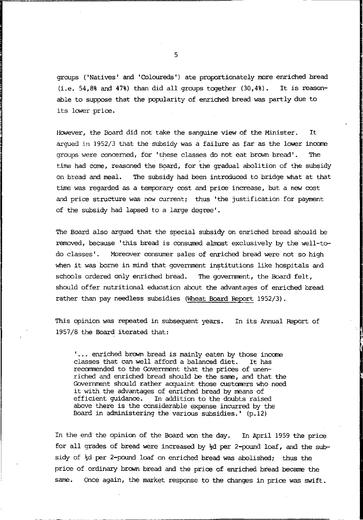groups ('Natives' and 'Coloureds') ate proportionately more enriched bread  $(i.e. 54.8%$  and  $47%)$  than did all groups together  $(30.4%)$ . It is reasonable to suppose that the popularity of enriched bread was partly due to its lower price.

However, the Board did not take the sanguine view of the Minister. It argued in 1952/3 that the subsidy was a failure as far as the lower income groups were concerned, for 'these classes do not eat brown bread'. time had come, reasoned the Board, for the gradual abolition of the subsidy on bread and meal. '!he subsidy had been introduced to bridge what at that The time was regarded as a temporary cost and price increase, but a new cost and price structure was now current; thus 'the justification for payment of the subsidy had lapsed to a large degree'.

The Board also argued that the special subsidy on enriched bread should be removed, because 'this bread is consumed almost exclusively by the well-todo classes'. Moreover consumer sales of enriched bread were not so high when it was borne in mind that government institutions like hospitals and schools ordered only enriched bread. The government, the Board felt, should offer nutritional education about the advantages of enriched bread rather than pay needless subsidies (Wheat Board Report 1952/3).

This opinion was repeated in subsequent years. In its Annual Report of 1957/8 the Board iterated that:

 $\dots$  enriched brown bread is mainly eaten by those income classes that can well afford a balanced diet. It has classes that can well afford a balanced diet. recommended to the Government that the prices of unenriched and enriched bread should be the same, and that the Government should rather acquaint those customers who need it with the advantages of enriched bread by means of<br>efficient guidance. In addition to the doubts raise In addition to the doubts raised above there is the considerable expense incurred by the Board in administering the various subsidies.'  $(p.12)$ 

In the end the opinion of the Board won the day. In April 1959 the price for all grades of bread were increased by  $\frac{1}{2}d$  per 2-pound loaf, and the subsidy of  $\frac{1}{2}d$  per 2-pound loaf on enriched bread was abolished; thus the price of ordinary brown bread and the price of enriched bread became the same. Once again, the market response to the changes in price was swift.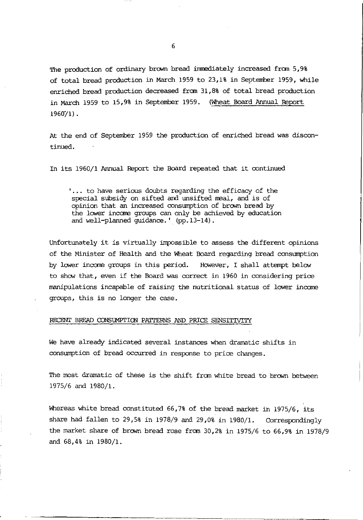The production of ordinary brown bread immediately increased from 5,9% of total bread production in March 1959 to 23,1% in September 1959, while enriched bread production decreased fran 31,8% of total bread production in March 1959 to 15,9% in September 1959. (Wheat Board Annual Report  $1960/1$ .

At the end of September 1959 the production of enriched bread was discontinued.

In its 1960/1 Annual Report the Board repeated that it continued

'... to have serious doubts regarding the efficacy of the special subsidy on sifted and unsifted meal, and is of opinion that an increased consumption of brown bread by the lower income groups can only be achieved by education and well-planned guidance.' (pp.13-14).

Unfortunately it is virtually impossible to assess the different opinions of the Minister of Health and the Wheat Board regarding bread consumption by lower income groups in this period. However, I shall attempt below to show that, even if the Board was correct in 1960 in considering price manipulations incapable of raising the nutritional status of lower income groups, this is no longer the case.

### RECENT BREAD CONSUMPTION PATTERNS AND PRICE SENSITIVITY

We have already indicated several instances when dramatic shifts in consumption of bread occurred in response to price changes.

The most dramatic of these is the shift from white bread to brown between 1975/6 and 1980/1.

Whereas white bread constituted 66,7% of the bread market in 1975/6, its share had fallen to 29,5% in 1978/9 and 29,0% in 1980/1. Correspondingly the market share of brown bread rose from 30,2% in 1975/6 to 66,9% in 1978/9 and 68,4% in 1980/1.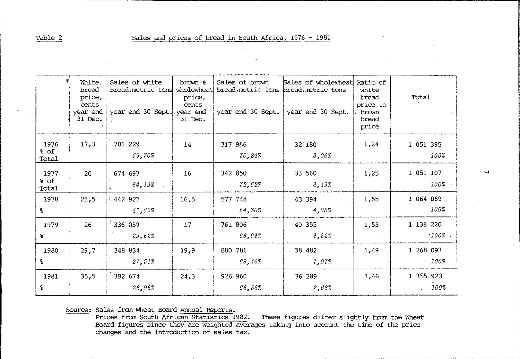Table 2

 $\mathbf{r}_\mathrm{c}$ 

|                       | White<br>bread<br>price,<br>cents<br>year end<br>31 Dec. | Sales of white<br>year end 30 Sept. | brown &<br>price,<br>cents<br>year end<br>31 Dec. | Sales of brown<br>bread, metric tons wholewheat bread, metric tons bread, metric tons<br>year end 30 Sept. | Sales of wholewheat<br>year end 30 Sept. | Ratio of<br>white<br>bread<br>price to<br>brown<br>bread<br>price | Total                 |
|-----------------------|----------------------------------------------------------|-------------------------------------|---------------------------------------------------|------------------------------------------------------------------------------------------------------------|------------------------------------------|-------------------------------------------------------------------|-----------------------|
| 1976<br>% of<br>Total | 17,3                                                     | 701 229<br>66,70%                   | 14                                                | 317 986<br>30,24%                                                                                          | 32 180<br>3,06%                          | 1,24                                                              | 1 051 395<br>100%     |
| 1977<br>% of<br>Total | 20                                                       | 674 697<br>64,19%                   | 16                                                | 342 850<br>32,62%                                                                                          | 33 560<br>3,19%                          | 1,25                                                              | 1 051 107<br>100%     |
| 1978<br>윙             | 25,5                                                     | ₹442 927<br>41,63%                  | 16,5                                              | 577 748<br>54,30%                                                                                          | 43 394<br>4,08%                          | 1,55                                                              | 1 064 069<br>$-100%$  |
| 1979<br>8             | 26                                                       | 336.059<br>29,52%                   | 17                                                | 761 806<br>66,93%                                                                                          | 40 355<br>3,55%                          | 1,53                                                              | 1 138 220<br>$.100\%$ |
| 1980<br>g.            | 29,7                                                     | 348 834<br>27,51%                   | 19.9                                              | 880 781<br>69,46%                                                                                          | 38 482<br>3,03%                          | 1,49                                                              | 1 268 097<br>100%     |
| 1981<br>g.            | 35,5                                                     | 392674<br>28,96%                    | 24,3                                              | 926 960<br>68,36%                                                                                          | 36 289<br>2,68%                          | 1,46                                                              | 1 355 923<br>100%     |

Source: Sales from Wheat Board <u>Annual Reports</u>.<br>Prices from <u>South African Statistics</u> 1982. These figures differ slightly from the Wheat Board figures since they are weighted averages taking into account the time of the

 $\overline{ }$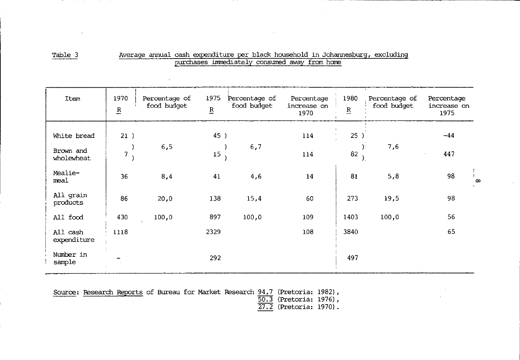| $\sim$ |
|--------|
|        |

### Average annual cash expenditure per black household in Johannesburg, excluding purchases immediately consumed away from home

| Item                    | 1970<br>$\underline{\mathbf{R}}$ | Percentage of<br>food budget | 1975<br>$\underline{\mathbf{R}}$ | Percentage of<br>food budget | Percentage<br>increase on<br>1970 | 1980<br>$\underline{\mathbf{R}}$    | Percentage of<br>food budget | Percentage<br>increase on<br>1975 |          |
|-------------------------|----------------------------------|------------------------------|----------------------------------|------------------------------|-----------------------------------|-------------------------------------|------------------------------|-----------------------------------|----------|
| White bread             | 21)                              |                              | 45)                              |                              | 114                               | $\mathbf{1}$<br>25)<br>$\sim$       |                              | $-44$                             |          |
| Brown and<br>wholewheat | 7                                | 6,5                          | $15\,$                           | 6,7                          | 114                               | $\sum_{i=1}^{n}$<br>82<br>$\lambda$ | 7,6                          | 447                               |          |
| Mealie-<br>meal         | 36                               | 8,4                          | 41                               | 4,6                          | 14                                | 81                                  | 5,8                          | 98                                | $\infty$ |
| All grain<br>products   | 86                               | 20,0                         | 138                              | 15,4                         | 60                                | 273                                 | 19,5                         | 98                                |          |
| All food                | 430                              | 100,0                        | 897                              | 100,0                        | 109                               | 1403                                | 100,0                        | 56                                |          |
| All cash<br>expenditure | 1118                             |                              | 2329                             |                              | 108                               | 3840                                |                              | 65                                |          |
| Number in<br>sample     |                                  |                              | 292                              |                              |                                   | 497                                 |                              |                                   |          |

|  |  |  |  | Source: Research Reports of Bureau for Market Research 94,7 (Pretoria: 1982), |  |
|--|--|--|--|-------------------------------------------------------------------------------|--|
|  |  |  |  |                                                                               |  |

50.3 (Pretoria: 1976),

27.2 (Pretoria: 197O).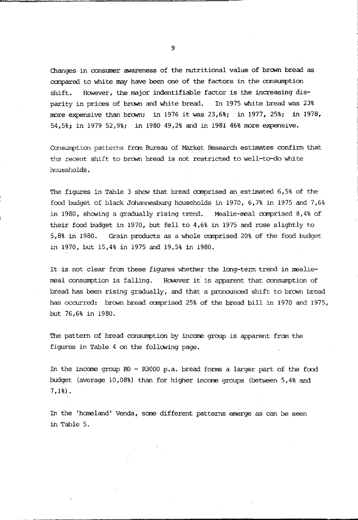Changes in consumer awareness of the nutritional value of brown bread as compared to white may have been one of the factors in the consumption shift. HONever, the major indentifiable factor is the increasing disparity in prices of brown and white bread. In 1975 white bread was 23% more expensive than brown; in 1976 it was  $23,6\$ ; in 1977, 25%; in 1978, 54,5%; in 1979 52,9%; in 1980 49,2% and in 1981 46% more expensive.

Consumption patterns from Bureau of Market Research estimates confirm that the recent shift to brown bread is not restricted to well-to-do white **households.** 

The figures in Table 3 show that bread comprised an estimated 6,5% of the food budget of black Johannesburg households in 1970, 6,7% in 1975 and 7,6% in 1980, showing a gradually rising trend. Mealie-meal comprised  $8,4\$  of their food budget in 1970, but fell to 4,6% in 1975 and rose slightly to 5,8% in 1980. Grain products as a whole comprised 20% of the food budget in 1970, but 15,4% in 1975 and 19,5% in 1980.

It is not clear fran these figures whether the long-tenn trend in mealiemeal consumption is falling. HONever it is apparent that consumption of bread has been rising gradually, and that a pronounced shift to brown bread has occurred: brown bread comprised 25% of the bread bill in 1970 and 1975, but 76,6% in 1980.

The pattern of bread consumption by incane group is apparent fran the figures in Table 4 on the following page.

In the income group  $R0 - R3000$  p.a. bread forms a larger part of the food budget (average 10,08%) than for higher incane groups (between 5,4% and 7,1%) .

In the 'homeland' Venda, sane different patterns emerge as can be seen in Table 5.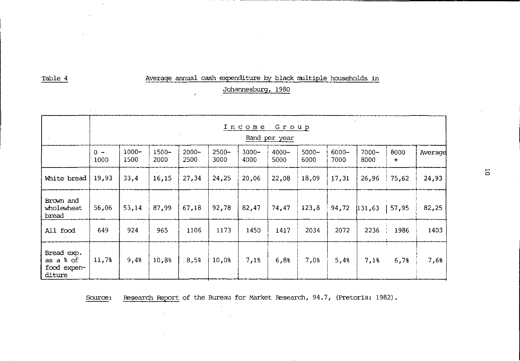# Average annual cash expenditure by black multiple households in

Johannesburg, 1980

 $\epsilon$ 

 $\sim$ 

|                                                  |               | Income<br>Group<br>Rand per year |                  |                  |                  |                  |                  |                  |                  |                  |             |         |
|--------------------------------------------------|---------------|----------------------------------|------------------|------------------|------------------|------------------|------------------|------------------|------------------|------------------|-------------|---------|
|                                                  | $0 -$<br>1000 | $1000 -$<br>1500                 | $1500 -$<br>2000 | $2000 -$<br>2500 | $2500 -$<br>3000 | $3000 -$<br>4000 | $4000 -$<br>5000 | $5000 -$<br>6000 | $6000 -$<br>7000 | $7000 -$<br>8000 | 8000<br>$+$ | Average |
| White bread                                      | 19,93         | 33,4                             | 16,15            | 27,34            | 24,25            | 20,06            | 22,08            | 18,09            | 17,31            | 26,96            | 75,62       | 24,93   |
| Brown and<br>wholewheat<br>bread                 | 56,06         | 53,14                            | 87,99            | 67,18            | 92,78            | 82,47            | 74,47            | 123,8            | 94,72            | 131,63           | 57,95       | 82,25   |
| All food                                         | 649           | 924                              | 965              | 1106             | 1173             | 1450             | 1417             | 2034             | 2072             | 2236             | 1986        | 1403    |
| Bread exp.<br>as a % of<br>food expen-<br>diture | 11,7%         | 9,48                             | 10.8%            | 8.5%             | 10,0%            | 7,1%             | 6,8%             | 7,0%             | 5,4%             | 7,1%             | 6,7%        | 7,6%    |

Research Report of the Bureau for Market Research, 94.7, (Pretoria: 1982). Source:

G.

Table 4

 $\overline{\rm o}$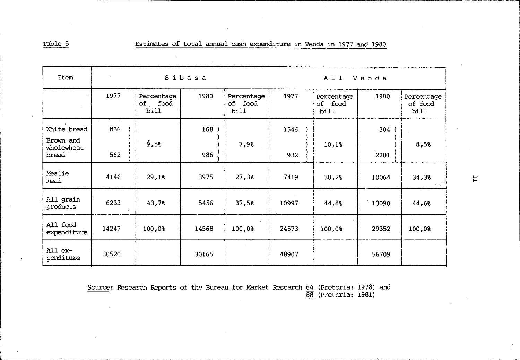Table 5

Estimates of total annual cash expenditure in Venda in 1977 and 1980

| Item                                            | $\sim$<br>× |                               | Sibasa      |                               | A11<br>Venda |                               |              |                               |
|-------------------------------------------------|-------------|-------------------------------|-------------|-------------------------------|--------------|-------------------------------|--------------|-------------------------------|
|                                                 | 1977        | Percentage<br>of food<br>bill | 1980        | Percentage<br>of food<br>bill | 1977         | Percentage<br>of food<br>bill | 1980         | Percentage<br>of food<br>bill |
| White bread<br>Brown and<br>wholewheat<br>bread | 836<br>562  | 9,88                          | 168)<br>986 | 7,9%                          | 1546<br>932  | 10,1%                         | 304)<br>2201 | 8,5%                          |
| Mealie<br>meal                                  | 4146        | 29,1%                         | 3975        | 27,3%                         | 7419         | 30,28                         | 10064        | 34,3%                         |
| All grain<br>products                           | 6233        | 43,7%                         | 5456        | 37,58                         | 10997        | 44,8%                         | 13090        | 44,6%                         |
| All food<br>expenditure                         | 14247       | 100,08                        | 14568       | 100.0%                        | 24573        | 100,0%                        | 29352        | 100,0%                        |
| All ex-<br>penditure                            | 30520       |                               | 30165       |                               | 48907        |                               | 56709        |                               |

Source: Research Reports of the Bureau for Market Research 64 (Pretoria: 1978) and  $\overline{88}$  (Pretoria: 1981)

 $\overline{\phantom{a}}$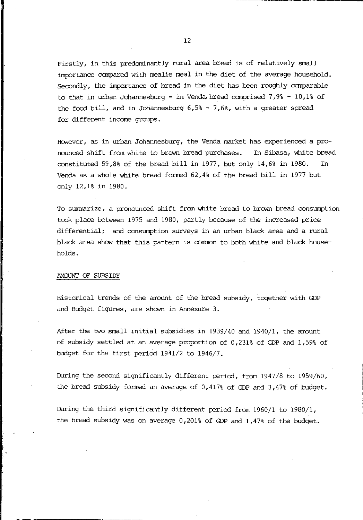Firstly, in this predominantly rural area bread is of relatively small importance canpared with mealie meal in the diet of the average household. Secondly, the importanoe of bread in the diet has been roughly canparable to that in urban Johannesburg - in Venda, bread comprised 7,9% - 10,1% of the food bill, and in Johannesburg  $6,5$ % - 7,6%, with a greater spread for different income groups.

However, as in urban Johannesburg, the Venda market has experienced a pronounced shift from white to brown bread purchases. In Sibasa, white bread constituted 59,8% of the bread bill in 1977, but only 14,6% in 1980. In Venda as a whole white bread formed  $62,48$  of the bread bill in 1977 but only 12,1% in 1980.

To summarize, a pronounced shift from white bread to brown bread consumption took plaoe between 1975 and 1980, partly because of the increased prioe differential; and consumption surveys in an urban black area and a rural black area show that this pattern is common to both white and black households.

### AMOUNT OF SUBSIDY

Historical trends of the amount of the bread subsidy, together with GDP and Budget figures, are shown in Annexure 3.

After the two small initial subsidies in 1939/40 and 1940/1, the amount of subsidy settled at an average proportion of 0,231% of GDP and 1,59% of budget for the first period 1941/2 to 1946/7.

During the second significantly different period, from 1947/8 to 1959/60, the bread subsidy formed an average of 0,417% of GDP and 3,47% of budget.

During the third significantly different period from 1960/1 to 1980/1, the bread subsidy was on average 0,201% of GDP and 1,47% of the budget.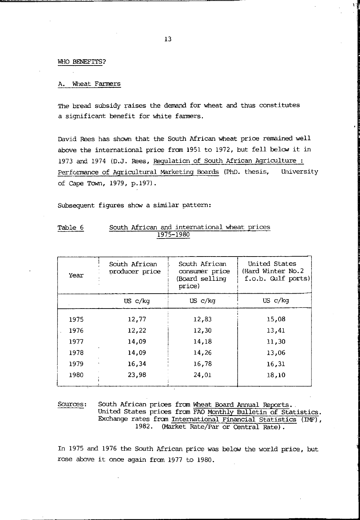### WHO BENEFITS?

#### Wheat Farmers А.

The bread subsidy raises the demand for wheat and thus constitutes a significant benefit for white farmers.

David Rees has shown that the South African wheat price remained well above the international price from 1951 to 1972, but fell below it in 1973 and 1974 (D.J. Rees, Regulation of South African Agriculture: Performance of Agricultural Marketing Boards (PhD. thesis, University of Cape Town, 1979, p.197).

Subsequent figures show a similar pattern:

| Table 6 |  | South African and international wheat prices |  |
|---------|--|----------------------------------------------|--|
|         |  | 1975-1980                                    |  |

| Year | South African<br>South African<br>consumer price<br>producer price<br>(Board selling<br>price) |                     | United States<br>(Hard Winter No.2)<br>f.o.b. Gulf ports) |
|------|------------------------------------------------------------------------------------------------|---------------------|-----------------------------------------------------------|
|      | US c/kg                                                                                        | US <sub>c</sub> /kq | US <sub>c</sub> /kq                                       |
| 1975 | 12,77                                                                                          | 12,83               | 15,08                                                     |
| 1976 | 12,22                                                                                          | 12,30               | 13,41                                                     |
| 1977 | 14,09                                                                                          | 14,18               | 11,30                                                     |
| 1978 | 14.09                                                                                          | 14,26               | 13,06                                                     |
| 1979 | 16,34                                                                                          | 16,78               | 16,31                                                     |
| 1980 | 23,98                                                                                          | 24,01               | 18,10                                                     |

#### Sources: South African prices from Wheat Board Annual Reports. United States prices from FAO Monthly Bulletin of Statistics. Exchange rates from International Financial Statistics (IMF), (Market Rate/Par or Central Rate). 1982.

In 1975 and 1976 the South African price was below the world price, but rose above it once again from 1977 to 1980.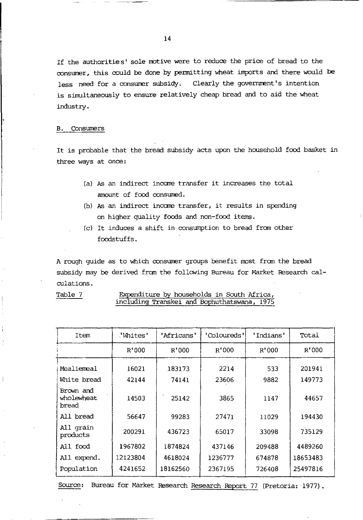If the authorities' sole motive were to reduce the price of bread to the consumer, this could be done by permitting wheat imports and there would be less need for a consumer subsidy. Clearly the government's intention is simultaneously to ensure relatively cheap bread and to aid the wheat industry.

### B. Consumers

It is probable that the bread subsidy acts upon the household food basket in three ways at once:

- (a) As an indirect income transfer it increases the total amount of food consumed.
- (b) As an indirect incame transfer, it results in spending on higher quality foods and non-food items.
- (c) It induces a shift in consumption to bread from other foodstuffs.

A rough guide as to which consumer groups benefit most from the bread subsidy may be derived from the following Bureau for Market Research calculations.

Expenditure by households in South Africa, including Transkei and Bophuthatswana, 1975

| Item                             | 'Whites' | 'Africans' | 'Coloureds' | 'Indians' | Total    |
|----------------------------------|----------|------------|-------------|-----------|----------|
|                                  | R'000    | R'000      | R'000       | R'000     | R'000    |
| Mealiemeal                       | 16021    | 183173     | 2214        | 533       | 201941   |
| White bread                      | 42144    | 74141      | 23606       | 9882      | 149773   |
| Brown and<br>wholewheat<br>bread | 14503    | 25142      | 3865        | 1147      | 44657    |
| All bread                        | 56647    | 99283      | 27471       | 11029     | 194430   |
| All grain<br>products            | 200291   | 436723     | 65017       | 33098     | 735129   |
| All food                         | 1967802  | 1874824    | 437146      | 209488    | 4489260  |
| All expend.                      | 12123804 | 4618024    | 1236777     | 674878    | 18653483 |
| Population                       | 4241652  | 18162560   | 2367195     | 726408    | 25497816 |

Source: Bureau for Market Research Research Report 77 (Pretoria: 1977).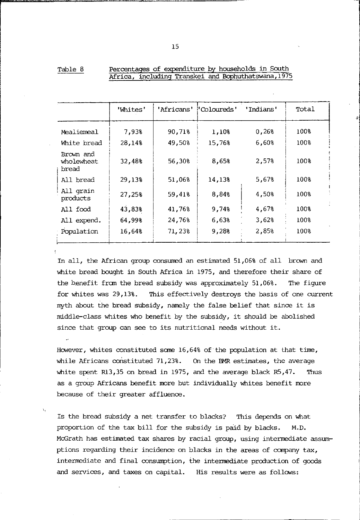|                                  | 'Whites' | 'Africans' | "Coloureds" | 'Indians' | Total |
|----------------------------------|----------|------------|-------------|-----------|-------|
| Mealiemeal                       | 7,93%    | 90,71%     | 1,10%       | 0,26%     | 100%  |
| White bread                      | 28,14%   | 49,50%     | 15,76%      | 6,60%     | 100%  |
| Brown and<br>wholewheat<br>bread | 32,48%   | 56.30%     | 8,65%       | 2,57%     | 100%  |
| All bread                        | 29,13%   | 51,06%     | 14,13%      | 5,67%     | 100%  |
| All grain<br>products            | 27,25%   | 59,41%     | 8,84%       | 4,50%     | 100%  |
| All food                         | 43.83%   | 41,76%     | 9,74%       | 4,67%     | 100%  |
| All expend.                      | 64.99%   | 24,76%     | 6,63%       | 3,62%     | 100%  |
| Population                       | 16,64%   | 71,23%     | 9,28%       | 2,85%     | 100%  |

| Table 8 |  | Percentages of expenditure by households in South   |  |  |
|---------|--|-----------------------------------------------------|--|--|
|         |  | Africa, including Transkei and Bophuthatswana, 1975 |  |  |

In all, the African group consumed an estimated 51,06% of all brcwn and white bread bought in South Africa in 1975, and therefore their share of the benefit fran the bread subsidy was approximately 51,06%. The figure for whites was 29,13%. This effectively destroys the basis of one current myth about the bread subsidy, namely the false belief that since it is middle-class whites who benefit by the subsidy, it should be abolished since that group can see to its nutritional needs without it.

However, whites constituted some  $16,648$  of the population at that time, while Africans constituted  $71,23\%$ . On the BMR estimates, the average white spent R13,35 on bread in 1975, and the average black  $R5,47$ . Thus as a group Africans benefit more but individually whites benefit more because of their greater affluence.

Is the bread subsidy a net transfer to blacks? This depends on what proportion of the tax bill for the subsidy is paid by blacks. M.D. McGrath has estimated tax shares by racial group, using intermediate assumptions regarding their incidence on blacks in the areas of company  $\text{tax}$ , intermediate and final consumption, the intermediate production of goods and services, and taxes on capital. His results were as follcws: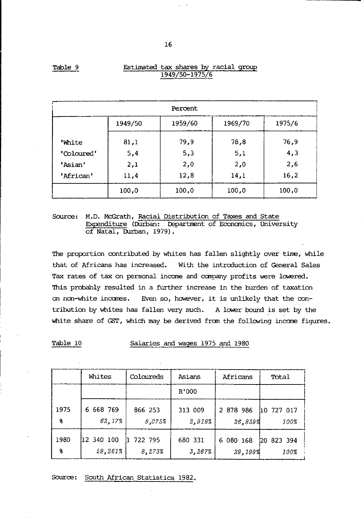| Percent      |         |         |         |        |  |  |
|--------------|---------|---------|---------|--------|--|--|
|              | 1949/50 | 1959/60 | 1969/70 | 1975/6 |  |  |
| <b>White</b> | 81,1    | 79,9    | 78,8    | 76,9   |  |  |
| 'Coloured'   | 5,4     | 5,3     | 5,1     | 4,3    |  |  |
| 'Asian'      | 2,1     | 2,0     | 2,0     | 2.6    |  |  |
| 'African'    | 11,4    | 12,8    | 14,1    | 16,2   |  |  |
|              | 100,0   | 100.0   | 100.0   | 100,0  |  |  |

### Estimated tax shares by racial group 1949/50-1975/6

Source: M.D. McGrath, Racial Distribution of Taxes and State Expenditure (Durban: Department of Economics, University of Natal, Durban, 1979).

The proportion contributed by whites has fallen slightly over time, while that of Africans has increased. With the introduction of General Sales Tax rates of tax on personal income and company profits were lowered. This probably resulted in a further increase in the burden of taxation on non-white incanes. Even so, however, it is unlikely that the contribution by whites has fallen very much. A lower bound is set by the white share of GST, which may be derived from the following income figures.

Table 10 Salaries and wages 1975 and 1980

|              | Whites     | Coloureds | Asians  | Africans  | Total      |
|--------------|------------|-----------|---------|-----------|------------|
|              |            |           | R'000   |           |            |
| 1975         | 6 668 769  | 866 253   | 313 009 | 2 878 986 | 10 727 017 |
| $\mathbf{a}$ | 62,17%     | 8,075%    | 2.918%  | 26,839%   | 100%       |
| 1980         | 12 340 100 | 722 795   | 680 331 | 6 080 168 | 20 823 394 |
| g            | 59,261%    | 8,273%    | 3,267%  | 29,199%   | 100%       |

Source: South African Statistics 1982.

Table 9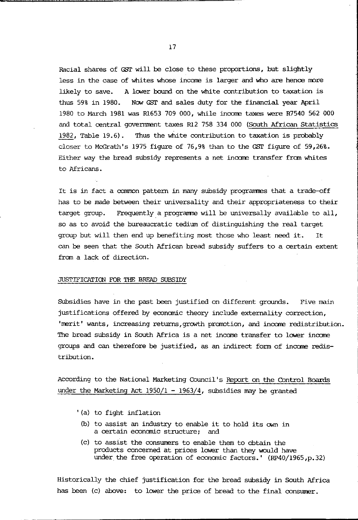Racial shares of GST will be close to these proportions, but slightly less in the case of whites whose income is larger and who are hence more likely to save. A lower bound on the white contribution to taxation is thus 59% in 1980. Now GST and sales duty for the financial year April 1980 to March 1981 was Rl653 709 000, while incorre taxes were R7540 562 000 and total oentral governrrent taxes Rl2 758 334 000 (South African Statistics 1982, Table 19.6). Thus the white contribution to taxation is probably closer to McGrath's 1975 figure of 76,9% than to the GST figure of 59,26%. Either way the bread subsidy represents a net inoame transfer from whites to Africans.

It is in fact a common pattern in many subsidy programmes that a trade-off has to be made between their universality and their appropriateness to their target group. Frequently a programme will be universally available to all, so as to avoid the bureaucratic tedium of distinguishing the real target group but will then end up benefiting most those who least need it. It can be seen that the South African bread subsidy suffers to a oertain extent from a lack of direction.

### JUSTIFICATICN FOR THE BREAD SUBSIDY

Subsidies have in the past been justified on different grounds. Five main justifications offered by economic theory include externality correction, 'merit' wants, increasing returns, growth promotion, and income redistribution. The bread subsidy in South Africa is a net income transfer to lower inoame groups and can therefore be justified, as an indirect form of inoame redistribution.

According to the National Marketing Council's Report on the Control Boards under the Marketing Act  $1950/1 - 1963/4$ , subsidies may be granted

- '(a) to fight inflation
	- (b) to assist an industry to enable it to hold its own in a oertain economic structure; and
	- (c) to assist the consumers to enable them to obtain the products conoerned at prioes lower than they would have under. the free operation of economic factors.' (RP40/1965,p.32)

Historically the chief justification for the bread subsidy in South Africa has been (c) above: to lower the price of bread to the final consumer.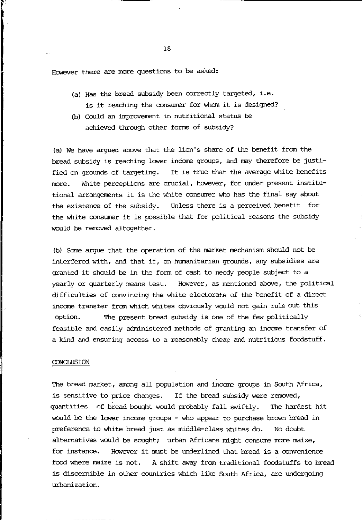However there are more questions to be asked:

- $(a)$  Has the bread subsidy been correctly targeted, i.e. is it reaching the consumer for whom it is designed?
- (b) OOUld an improvement in nutritional status be achieved through other forms of subsidy?

(a) We have argued above that the lion's share of the benefit fran the bread subsidy is reaching lower income groups, and may therefore be justified on grounds of targeting. It is true that the average white benefits more. White perceptions are crucial, however, for under present institutional arrangements it is the white consumer who has the final say about the existence of the subsidy. Unless there is a perceived benefit for the white consumer it is possible that for political reasons the subsidy would be removed altogether.

(b) Scxre argue that the operation of the market mechanism should not be interfered with, and that if, on humanitarian grounds, any subsidies are granted it should be in the fonn of cash to needy people subject to a yearly or quarterly means test. However, as mentioned above, the political difficulties of ccnvincing the white electorate of the benefit of a direct income transfer fram which whites obviously would not gain rule out this option. The present bread subsidy is one of the few politically feasible and easily administered methods of granting an incane transfer of a kind and ensuring access to a reasonably cheap and nutritious foodstuff.

### **CONCLUSION**

The bread market, among all population and income groups in South Africa, is sensitive to price changes. If the bread subsidy were removed, quantities 0f bread bought would probably fall swiftly. The hardest hit would be the lower income groups - who appear to purchase brown bread in preference to white bread just as middle-class whites do. No doubt alternatives would be sought; urban Africans might consume more maize, for instance. However it must be underlined that bread is a convenience food where maize is not. A shift away fran traditional foodstuffs to bread is discernible in other countries which like South Africa, are undergoing urbanization.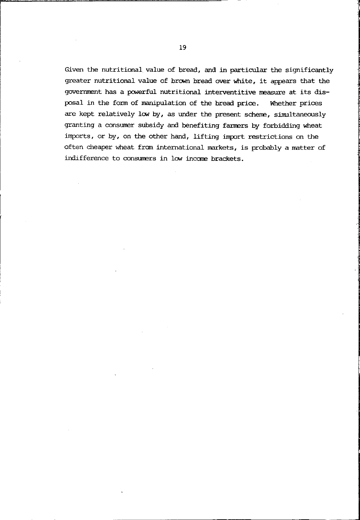Given the nutritional value of bread, and in particular the significantly greater nutritional value of brown bread over white, it appears that the government has a powerful nutritional interventitive measure at its disposal in the fonn of manipulation of the bread prioe. Whether prioes are kept relatively low by, as under the present scheme, simultaneously granting a consumer subsidy and benefiting farmers by forbidding wheat imports, or by, on the other hand, lifting import restrictions on the often cheaper wheat from international markets, is probably a matter of indifference to consumers in low income brackets.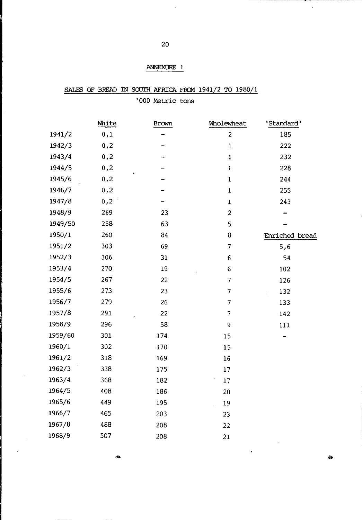# ANNEXURE 1

'000 Metric tons

|         | White | Brown | Wholewheat       | 'Standard'     |
|---------|-------|-------|------------------|----------------|
| 1941/2  | 0,1   |       | $\boldsymbol{2}$ | 185            |
| 1942/3  | 0,2   |       | $\mathbf 1$      | 222            |
| 1943/4  | 0, 2  |       | $\mathbf{1}$     | 232            |
| 1944/5  | 0,2   |       | ı                | 228            |
| 1945/6  | 0,2   |       | $\mathbf{I}$     | 244            |
| 1946/7  | 0,2   |       | $\mathbf 1$      | 255            |
| 1947/8  | 0,2   |       | ı                | 243            |
| 1948/9  | 269   | 23    | $\overline{c}$   |                |
| 1949/50 | 258   | 63    | 5                |                |
| 1950/1  | 260   | 84    | 8                | Enriched bread |
| 1951/2  | 303   | 69    | 7                | 5,6            |
| 1952/3  | 306   | 31    | 6                | 54             |
| 1953/4  | 270   | 19    | 6                | 102            |
| 1954/5  | 267   | 22    | 7                | 126            |
| 1955/6  | 273   | 23    | 7                | 132            |
| 1956/7  | 279   | 26    | 7                | 133            |
| 1957/8  | 291   | 22    | 7                | 142            |
| 1958/9  | 296   | 58    | 9                | 111            |
| 1959/60 | 301   | 174   | 15               |                |
| 1960/1  | 302   | 170   | 15               |                |
| 1961/2  | 318   | 169   | 16               |                |
| 1962/3  | 338   | 175   | 17               |                |
| 1963/4  | 368   | 182   | 17               |                |
| 1964/5  | 408   | 186   | 20               |                |
| 1965/6  | 449   | 195   | 19               |                |
| 1966/7  | 465   | 203   | 23               |                |
| 1967/8  | 488   | 208   | 22               |                |
| 1968/9  | 507   | 208   | 21               |                |
|         |       |       |                  |                |

...

l,

 $\ddot{\phantom{a}}$ 

l,

ia.

 $\bullet$ 

 $\ddot{\phantom{0}}$ 

SALES OF BREAD IN SOUTH AFRICA FROM 1941/2 TO 1980/1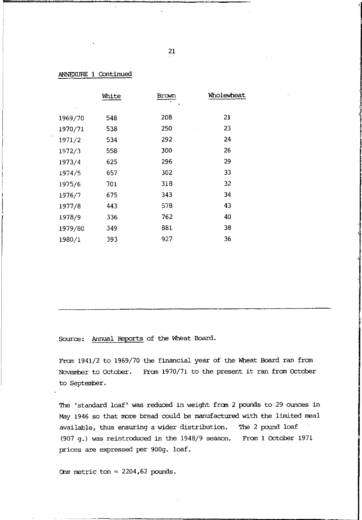|         | White | Brown | Wholewheat |
|---------|-------|-------|------------|
|         |       |       |            |
| 1969/70 | 548   | 208   | 21         |
| 1970/71 | 538   | 250   | 23         |
| 1971/2  | 534   | 292   | 24         |
| 1972/3  | 558.  | 300   | 26         |
| 1973/4  | 625   | 296   | 29         |
| 1974/5  | 657   | 302   | 33         |
| 1975/6  | 701   | 318   | 32         |
| 1976/7  | 675   | 343   | 34         |
| 1977/8  | 443   | 578   | 43         |
| 1978/9  | 336   | 762   | 40         |
| 1979/80 | 349   | 881   | 38         |
| 1980/1  | 393   | 927   | 36         |

### ANNEXURE 1 Continued

Source: Annual Reports of the Wheat Board.

From 1941/2 to 1969/70 the financial year of the Wheat Board ran from November to October. From 1970/71 to the present it ran fran October to September.

The 'standard loaf' was reduced in weight from 2 pounds to 29 ounces in May 1946 so that more bread could be manufactured with the limited meal available, thus ensuring a wider distribution. The 2 pound loaf (907 g.) was reintroduced in the 1948/9 season. From 1 October 1971 prices are expressed per 900g. loaf.

One metric ton = 2204,62 pounds.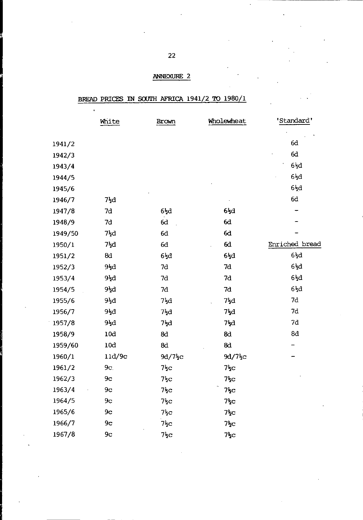## ANNEXURE 2

# BREAD PRICES IN SOUTH AFRICA 1941/2 TO 1980/1

l.

|         | White           | Brown                 | Wholewheat            | 'Standard'       |
|---------|-----------------|-----------------------|-----------------------|------------------|
|         |                 |                       |                       |                  |
| 1941/2  |                 |                       |                       | 6d               |
| 1942/3  |                 |                       |                       | 6d               |
| 1943/4  |                 |                       |                       | $6\frac{1}{2}d$  |
| 1944/5  |                 |                       |                       | $6\frac{1}{2}d$  |
| 1945/6  |                 |                       |                       | 6łd              |
| 1946/7  | $7\frac{1}{2}d$ |                       |                       | 6d               |
| 1947/8  | 7d              | $6\frac{1}{2}d$       | $6\frac{1}{2}$ d      |                  |
| 1948/9  | 7d              | 6d                    | 6d                    |                  |
| 1949/50 | 7łd             | 6d                    | 6d                    |                  |
| 1950/1  | $7\frac{1}{2}d$ | 6d                    | 6d                    | Enriched bread   |
| 1951/2  | 8d              | $6\overline{z}d$      | $6\overline{2}d$      | $6\overline{5}d$ |
| 1952/3  | 9łd             | 7d                    | 7d                    | $6\overline{5}d$ |
| 1953/4  | $9\frac{1}{2}d$ | 7d                    | 7d                    | $6\frac{1}{2}d$  |
| 1954/5  | 9łd             | 7d                    | 7d                    | $6\frac{1}{2}d$  |
| 1955/6  | 9½d             | 7kd                   | 7łd                   | 7d               |
| 1956/7  | 9½d             | $7\frac{1}{2}d$       | $7\frac{1}{2}d$       | 7d               |
| 1957/8  | 9½d             | 7ķd                   | 7łd                   | 7d               |
| 1958/9  | 10d             | 8d                    | 8d                    | 8d               |
| 1959/60 | 10d             | 8d                    | 8d                    |                  |
| 1960/1  | 11d/9c          | $9d/7$ $\frac{1}{2}c$ | $9d/7$ <sub>2</sub> c |                  |
| 1961/2  | 9c.             | $75$ c                | $7\frac{1}{2}C$       |                  |
| 1962/3  | 9c              | $7\frac{1}{2}C$       | $7\frac{1}{2}C$       |                  |
| 1963/4  | 9 <sub>c</sub>  | $7\frac{1}{2}C$       | $7\frac{1}{2}C$       |                  |
| 1964/5  | 9 <sub>c</sub>  | $7\frac{1}{2}c$       | $7\frac{1}{2}C$       |                  |
| 1965/6  | 9 <sub>c</sub>  | $7\frac{1}{2}c$       | $7\frac{1}{2}C$       |                  |
| 1966/7  | 9 <sub>c</sub>  | $7\frac{1}{2}c$       | $7\frac{1}{2}C$       |                  |
| 1967/8  | 9 <sub>c</sub>  | 7ķс                   | 7ξс                   |                  |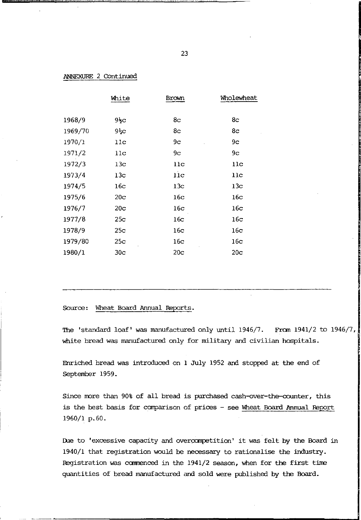### ANNEXURE 2 Continued

|         | White           | Brown           | Wholewheat      |
|---------|-----------------|-----------------|-----------------|
|         |                 |                 |                 |
| 1968/9  | 9 <sub>5</sub>  | 8c              | 8с              |
| 1969/70 | $95$ C          | 8c              | 8c              |
| 1970/1  | 11c             | 9с              | 9с              |
| 1971/2  | $_{11c}$        | 9 <sub>c</sub>  | 9с              |
| 1972/3  | 13c             | 11c             | $_{11c}$        |
| 1973/4  | 13 <sub>c</sub> | $_{11c}$        | $_{11c}$        |
| 1974/5  | 16c             | 13c             | 13 <sub>c</sub> |
| 1975/6  | 20 <sub>c</sub> | 16c             | 16с             |
| 1976/7  | 20c             | 16с             | 16c             |
| 1977/8  | 25c             | 16c             | 16c             |
| 1978/9  | 25c             | 16c             | 16c             |
| 1979/80 | 25c             | 16c             | 16c             |
| 1980/1  | 30 <sub>c</sub> | 20 <sub>c</sub> | 20c             |

### Source: Wheat Board Annual Reports.

The 'standard loaf' was manufactured only until 1946/7. Fran 1941/2 to 1946/7, white bread was manufactured only for military and civilian hospitals.

Enriched bread was introduced on 1 July 1952 and stopped at the end of September 1959.

Since more than 90% of all bread is purchased cash-over-the-counter, this is the best basis for comparison of prices - see Wheat Board Annual Report 1960/1 p.60.

Due to 'excessive capacity and overcompetition' it was felt by the Board in 1940/1 that registration would be necessary to rationalise the industry. Registration was camenced in the 1941/2 season, when for the first tine quantities of bread manufactured and sold were published by the Board.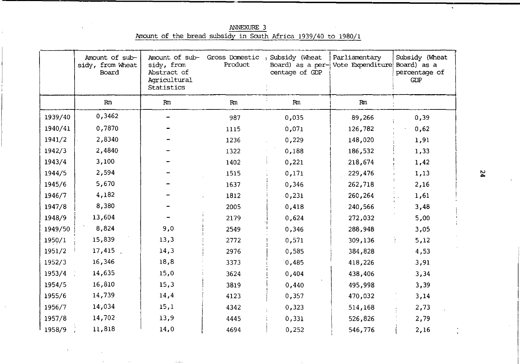Amount of sub-Amount of sub-Gross Domestic Subsidy (Wheat Parliamentary Subsidy (Wheat sidy, from Wheat sidy, from Product Board) as a per- Vote Expenditure Board) as a Abstract of Board centage of GDP percentage of Agricultural GDP Statistics  $Rm$  $Rm$  $Rm$  $Rm$  $Rm$ 0,3462 1939/40 987 0,035 89,266  $0.39$  $\overline{\phantom{0}}$ 1940/41 0.7870 1115 0.071 126,782  $0,62$ 1941/2 2,8340 1236  $0,229$ 148,020 1,91 1942/3 2,4840 1322 0,188 186.532 1,33 1943/4 3,100 1402  $0,221$ 218,674 1,42 1944/5 2,594 1515  $0.171$ 229,476  $1.13$ 5,670 1945/6 1637 0,346 262,718 2,16 4,182 1946/7 1812  $0,231$ 260,264 1,61 8,380 1947/8 2005 0,418 240,566 3,48 13,604 1948/9 2179 0,624 272,032 5,00 8,824  $9,0$ 1949/50 2549 0,346 288,948  $3,05$ 1950/1 15,839  $13,3$ 2772  $0,571$ 309,136  $5,12$ ÷. 17,415. 1951/2  $14,3$ 2976 0,585 384,828 4,53 16,346 18,8 1952/3 3373  $0,485$ 418,226 3,91  $1953/4$ 14,635 15,0 3624  $0,404$ 438,406 3,34 1954/5 16,810  $15,3$ 3819  $0,440$ 495,998 3,39 14,739 14,4 1955/6 4123  $0,357$ 470,032  $3,14$ 1956/7 14,034  $15,1$ 4342  $0,323$ 514,168 2,73 1957/8 14,702 13,9 4445  $0,331$ 526,826 2,79  $1958/9$ 11,818  $14,0$ 4694  $0,252$ 546,776 2,16

ANNEXURE 3 Amount of the bread subsidy in South Africa 1939/40 to 1980/1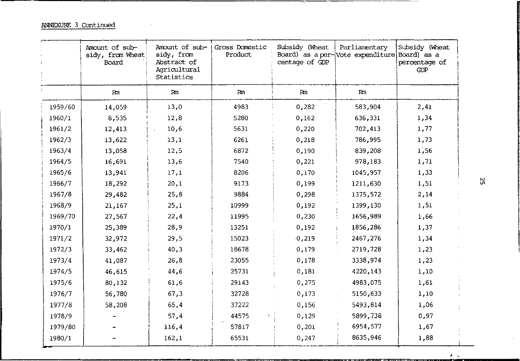ANNEXURE 3 Continued

|         | Amount of sub-<br>sidy, from Wheat<br>Board | Amount of sub-<br>sidy, from<br>Abstract of<br>Agricultural<br>Statistics | Gross Domestic<br>Product | Subsidy (Wheat<br>centage of GDP | Parliamentary<br>Board) as a per- Vote expenditure Board) as a | Subsidy (Wheat<br>percentage of<br>GDP |
|---------|---------------------------------------------|---------------------------------------------------------------------------|---------------------------|----------------------------------|----------------------------------------------------------------|----------------------------------------|
|         | Rm                                          | Rm                                                                        | Rm                        | Rm                               | Rm                                                             |                                        |
| 1959/60 | 14,059                                      | 13,0                                                                      | 4983                      | 0,282                            | 583,904                                                        | 2,41                                   |
| 1960/1  | 8,535                                       | 12,8                                                                      | 5280                      | 0,162                            | 636,331                                                        | 1,34                                   |
| 1961/2  | 12,413                                      | 10,6                                                                      | 5631                      | 0,220                            | 702,413                                                        | 1,77                                   |
| 1962/3  | 13,622                                      | 13,1                                                                      | 6261                      | 0,218                            | 786,995                                                        | 1,73                                   |
| 1963/4  | 13,058                                      | 12,5                                                                      | 6872                      | 0,190                            | 839,208                                                        | 1,56                                   |
| 1964/5  | 16,691                                      | 13,6                                                                      | 7540                      | 0,221                            | 978,183                                                        | 1,71                                   |
| 1965/6  | 13,941                                      | 17,1                                                                      | 8206                      | 0,170                            | 1045,957                                                       | 1,33                                   |
| 1966/7  | 18,292                                      | 20,1                                                                      | 9173                      | 0,199                            | 1211,630                                                       | 1,51                                   |
| 1967/8  | 29,482                                      | 25,8                                                                      | 9884                      | 0,298                            | 1375,572                                                       | 2,14                                   |
| 1968/9  | 21,167                                      | 25,1                                                                      | 10999                     | 0,192                            | 1399,130                                                       | 1,51                                   |
| 1969/70 | 27,567                                      | 22,4                                                                      | 11995                     | 0,230                            | 1656,989                                                       | 1,66                                   |
| 1970/1  | 25,389                                      | 28,9                                                                      | 13251                     | 0,192                            | 1856,286                                                       | 1,37                                   |
| 1971/2  | 32,972                                      | 29,5                                                                      | 15023                     | $-0,219$                         | 2467,276                                                       | 1,34                                   |
| 1972/3  | 33,462                                      | 40,3                                                                      | 18678                     | 0,179                            | 2719,728                                                       | 1,23                                   |
| 1973/4  | 41,087                                      | 26,8                                                                      | 23055                     | 0,178                            | 3338,974                                                       | 1,23                                   |
| 1974/5  | 46,615                                      | 44,6                                                                      | 25731                     | 0,181                            | 4220.143                                                       | 1,10                                   |
| 1975/6  | 80,132                                      | 61,6                                                                      | 29143                     | 0,275                            | 4983,075                                                       | 1,61                                   |
| 1976/7  | 56,780                                      | 67,3                                                                      | 32728                     | 0,173                            | 5150,633                                                       | 1,10                                   |
| 1977/8  | 58,208                                      | 65,4                                                                      | 37222                     | 0,156                            | 5493,814                                                       | 1,06                                   |
| 1978/9  |                                             | 57,4                                                                      | 44575                     | 0,129                            | 5899,738                                                       | 0,97                                   |
| 1979/80 |                                             | 116,4                                                                     | 57817                     | 0,201                            | 6954,577                                                       | 1,67                                   |
| 1980/1  |                                             | 162,1                                                                     | 65531                     | 0,247                            | 8635,946                                                       | 1,88                                   |

S2

 $\cdot$ 

 $\star$   $\downarrow$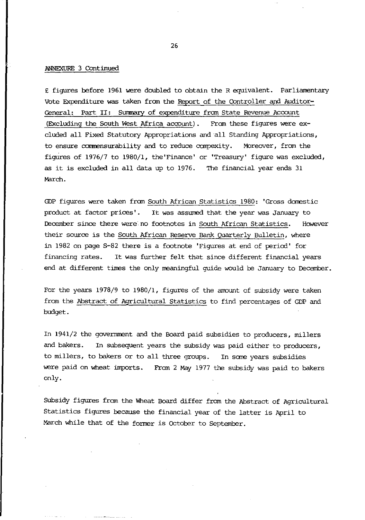### ANNEXURE 3 Continued

<sup>E</sup>figures before 1961 were doubled to obtain the R equivalent. Parliamentary Vote Expenditure was taken fran the Report of the Controller and Auditor-General: Part II: Surnnary of expenditure fran State Revenue Acoount (Excluding the South West Africa account). From these figures were excluded all Fixed Statutory Appropriations and "all Standing Appropriations, to ensure commensurability and to reduce compexity. Moreover, from the figUres of 1976/7 to 1980/1, the 'Finance' or 'Treasury' figure was excluded, as it is excluded in all data up to 1976. The financial year ends 31 March.

GOP figures were taken fran South African Statistics 1980: 'Gross domestic product at factor prices' . It was assumed that the year was January to December since there were no footnotes in South African Statistics. However their source is the South African Reserve Bank Quarterly Bulletin, where in 1982 on page S-82 there is a footnote 'Figures at end of period' for financing rates. It was further felt that since different financial years end at different times the only meaningful guide would be January to December.

For the years 1978/9 to 1980/1, figures of the amount of subsidy were taken from the Abstract of Agricultural Statistics to find percentages of GDP and budget.

In 1941/2 the government and the Board paid subsidies to producers, millers and bakers. In subsequent years the subsidy was paid either to producers, to millers, to bakers or to all three groups. In sane years subsidies were paid on wheat imports. From 2 May 1977 the subsidy was paid to bakers only.

Subsidy figures from the Wheat Board differ from the Abstract of Agricultural Statistics figures because the financial year of the latter is April to March while that of the former is October to September.